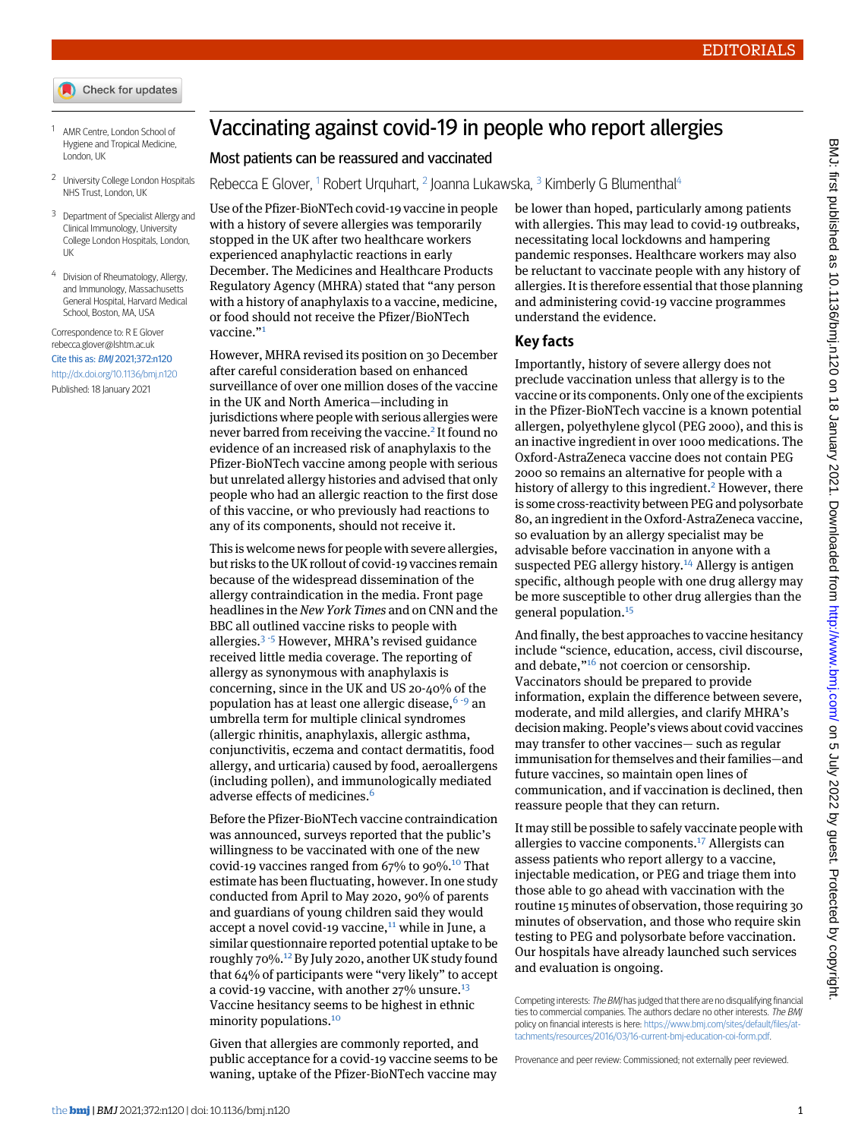- Check for updates
- <span id="page-0-1"></span><span id="page-0-0"></span><sup>1</sup> AMR Centre, London School of Hygiene and Tropical Medicine, London, UK
- <span id="page-0-2"></span><sup>2</sup> University College London Hospitals NHS Trust, London, UK
- <span id="page-0-3"></span><sup>3</sup> Department of Specialist Allergy and Clinical Immunology, University College London Hospitals, London, UK
- <sup>4</sup> Division of Rheumatology, Allergy, and Immunology, Massachusetts General Hospital, Harvard Medical School, Boston, MA, USA

Correspondence to: R E Glover [rebecca.glover@lshtm.ac.uk](mailto:rebecca.glover@lshtm.ac.uk) Cite this as: BMJ 2021;372:n120 <http://dx.doi.org/10.1136/bmj.n120> Published: 18 January 2021

## Vaccinating against covid-19 in people who report allergies

## Most patients can be reassured and vaccinated

Rebecca E Glover, <sup>[1](#page-0-0)</sup> Robert Urquhart, <sup>[2](#page-0-1)</sup> Joanna Lukawska, <sup>[3](#page-0-2)</sup> Kimberly G Blumenthal<sup>[4](#page-0-3)</sup>

Use of the Pfizer-BioNTech covid-19 vaccine in people with a history of severe allergies was temporarily stopped in the UK after two healthcare workers experienced anaphylactic reactions in early December. The Medicines and Healthcare Products Regulatory Agency (MHRA) stated that "any person with a history of anaphylaxis to a vaccine, medicine, or food should not receive the Pfizer/BioNTech vaccine." [1](#page-1-0)

However, MHRA revised its position on 30 December after careful consideration based on enhanced surveillance of over one million doses of the vaccine in the UK and North America—including in jurisdictions where people with serious allergies were never barred from receiving the vaccine.<sup>[2](#page-1-1)</sup> It found no evidence of an increased risk of anaphylaxis to the Pfizer-BioNTech vaccine among people with serious but unrelated allergy histories and advised that only people who had an allergic reaction to the first dose of this vaccine, or who previously had reactions to any of its components, should not receive it.

This is welcome news for people with severe allergies, but risks to the UK rollout of covid-19 vaccines remain because of the widespread dissemination of the allergy contraindication in the media. Front page headlines in the *New York Times* and on CNN and the BBC all outlined vaccine risks to people with allergies.[3](#page-1-2) [-](#page-1-3)[5](#page-1-4) However, MHRA's revised guidance received little media coverage. The reporting of allergy as synonymous with anaphylaxis is concerning, since in the UK and US 20-40% of the population has at least one allergic disease,  $6-9$  $6-9$  $6-9$  an umbrella term for multiple clinical syndromes (allergic rhinitis, anaphylaxis, allergic asthma, conjunctivitis, eczema and contact dermatitis, food allergy, and urticaria) caused by food, aeroallergens (including pollen), and immunologically mediated adverse effects of medicines.<sup>[6](#page-1-5)</sup>

Before the Pfizer-BioNTech vaccine contraindication was announced, surveys reported that the public's willingness to be vaccinated with one of the new covid-19 vaccines ranged from  $67%$  to 90%.<sup>[10](#page-1-8)</sup> That estimate has been fluctuating, however. In one study conducted from April to May 2020, 90% of parents and guardians of young children said they would accept a novel covid-19 vaccine, $11$  while in June, a similar questionnaire reported potential uptake to be roughly 70%.[12](#page-1-10) By July 2020, another UK study found that 64% of participants were "very likely" to accept a covid-19 vaccine, with another 27% unsure.<sup>[13](#page-1-11)</sup> Vaccine hesitancy seems to be highest in ethnic minority populations.[10](#page-1-8)

Given that allergies are commonly reported, and public acceptance for a covid-19 vaccine seems to be waning, uptake of the Pfizer-BioNTech vaccine may

be lower than hoped, particularly among patients with allergies. This may lead to covid-19 outbreaks, necessitating local lockdowns and hampering pandemic responses. Healthcare workers may also be reluctant to vaccinate people with any history of allergies. It is therefore essential that those planning and administering covid-19 vaccine programmes understand the evidence.

## **Key facts**

Importantly, history of severe allergy does not preclude vaccination unless that allergy is to the vaccine or its components. Only one of the excipients in the Pfizer-BioNTech vaccine is a known potential allergen, polyethylene glycol (PEG 2000), and this is an inactive ingredient in over 1000 medications. The Oxford-AstraZeneca vaccine does not contain PEG 2000 so remains an alternative for people with a history of allergy to this ingredient.<sup>[2](#page-1-1)</sup> However, there is some cross-reactivity between PEG and polysorbate 80, an ingredient in the Oxford-AstraZeneca vaccine, so evaluation by an allergy specialist may be advisable before vaccination in anyone with a suspected PEG allergy history.<sup>[14](#page-1-12)</sup> Allergy is antigen specific, although people with one drug allergy may be more susceptible to other drug allergies than the general population.[15](#page-1-13)

And finally, the best approaches to vaccine hesitancy include "science, education, access, civil discourse, and debate,"<sup>[16](#page-1-14)</sup> not coercion or censorship. Vaccinators should be prepared to provide information, explain the difference between severe, moderate, and mild allergies, and clarify MHRA's decision making. People's views about covid vaccines may transfer to other vaccines— such as regular immunisation for themselves and their families—and future vaccines, so maintain open lines of communication, and if vaccination is declined, then reassure people that they can return.

It may still be possible to safely vaccinate people with allergies to vaccine components.[17](#page-1-15) Allergists can assess patients who report allergy to a vaccine, injectable medication, or PEG and triage them into those able to go ahead with vaccination with the routine 15 minutes of observation, those requiring 30 minutes of observation, and those who require skin testing to PEG and polysorbate before vaccination. Our hospitals have already launched such services and evaluation is ongoing.

Competing interests: The BMJ has judged that there are no disqualifying financial ties to commercial companies. The authors declare no other interests. The BMJ policy on financial interests is here: https://www.bmj.com/sites/default/fil [tachments/resources/2016/03/16-current-bmj-education-coi-form.pdf](https://www.bmj.com/sites/default/files/attachments/resources/2016/03/16-current-bmj-education-coi-form.pdf).

Provenance and peer review: Commissioned; not externally peer reviewed.